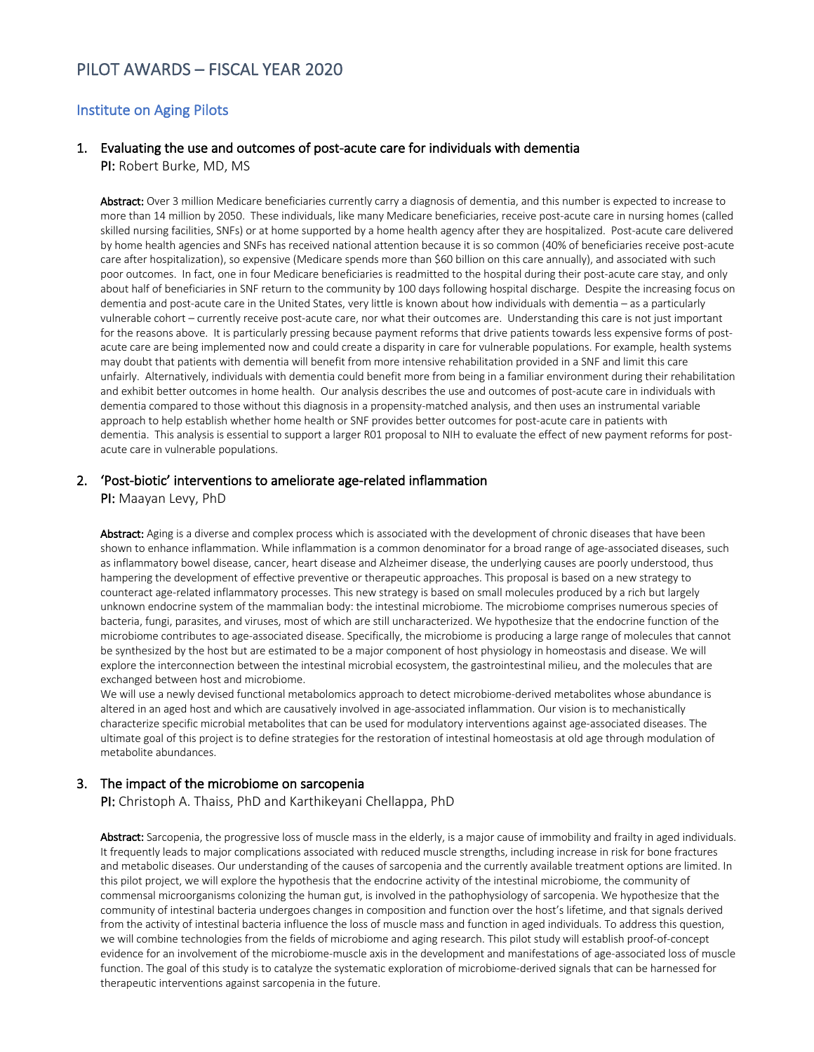# PILOT AWARDS – FISCAL YEAR 2020

#### Institute on Aging Pilots

## 1. Evaluating the use and outcomes of post-acute care for individuals with dementia

PI: Robert Burke, MD, MS

Abstract: Over 3 million Medicare beneficiaries currently carry a diagnosis of dementia, and this number is expected to increase to more than 14 million by 2050. These individuals, like many Medicare beneficiaries, receive post-acute care in nursing homes (called skilled nursing facilities, SNFs) or at home supported by a home health agency after they are hospitalized. Post-acute care delivered by home health agencies and SNFs has received national attention because it is so common (40% of beneficiaries receive post-acute care after hospitalization), so expensive (Medicare spends more than \$60 billion on this care annually), and associated with such poor outcomes. In fact, one in four Medicare beneficiaries is readmitted to the hospital during their post-acute care stay, and only about half of beneficiaries in SNF return to the community by 100 days following hospital discharge. Despite the increasing focus on dementia and post-acute care in the United States, very little is known about how individuals with dementia – as a particularly vulnerable cohort – currently receive post-acute care, nor what their outcomes are. Understanding this care is not just important for the reasons above. It is particularly pressing because payment reforms that drive patients towards less expensive forms of postacute care are being implemented now and could create a disparity in care for vulnerable populations. For example, health systems may doubt that patients with dementia will benefit from more intensive rehabilitation provided in a SNF and limit this care unfairly. Alternatively, individuals with dementia could benefit more from being in a familiar environment during their rehabilitation and exhibit better outcomes in home health. Our analysis describes the use and outcomes of post-acute care in individuals with dementia compared to those without this diagnosis in a propensity-matched analysis, and then uses an instrumental variable approach to help establish whether home health or SNF provides better outcomes for post-acute care in patients with dementia. This analysis is essential to support a larger R01 proposal to NIH to evaluate the effect of new payment reforms for postacute care in vulnerable populations.

#### 2. 'Post-biotic' interventions to ameliorate age-related inflammation

PI: Maayan Levy, PhD

Abstract: Aging is a diverse and complex process which is associated with the development of chronic diseases that have been shown to enhance inflammation. While inflammation is a common denominator for a broad range of age-associated diseases, such as inflammatory bowel disease, cancer, heart disease and Alzheimer disease, the underlying causes are poorly understood, thus hampering the development of effective preventive or therapeutic approaches. This proposal is based on a new strategy to counteract age-related inflammatory processes. This new strategy is based on small molecules produced by a rich but largely unknown endocrine system of the mammalian body: the intestinal microbiome. The microbiome comprises numerous species of bacteria, fungi, parasites, and viruses, most of which are still uncharacterized. We hypothesize that the endocrine function of the microbiome contributes to age-associated disease. Specifically, the microbiome is producing a large range of molecules that cannot be synthesized by the host but are estimated to be a major component of host physiology in homeostasis and disease. We will explore the interconnection between the intestinal microbial ecosystem, the gastrointestinal milieu, and the molecules that are exchanged between host and microbiome.

We will use a newly devised functional metabolomics approach to detect microbiome-derived metabolites whose abundance is altered in an aged host and which are causatively involved in age-associated inflammation. Our vision is to mechanistically characterize specific microbial metabolites that can be used for modulatory interventions against age-associated diseases. The ultimate goal of this project is to define strategies for the restoration of intestinal homeostasis at old age through modulation of metabolite abundances.

#### 3. The impact of the microbiome on sarcopenia

PI: Christoph A. Thaiss, PhD and Karthikeyani Chellappa, PhD

Abstract: Sarcopenia, the progressive loss of muscle mass in the elderly, is a major cause of immobility and frailty in aged individuals. It frequently leads to major complications associated with reduced muscle strengths, including increase in risk for bone fractures and metabolic diseases. Our understanding of the causes of sarcopenia and the currently available treatment options are limited. In this pilot project, we will explore the hypothesis that the endocrine activity of the intestinal microbiome, the community of commensal microorganisms colonizing the human gut, is involved in the pathophysiology of sarcopenia. We hypothesize that the community of intestinal bacteria undergoes changes in composition and function over the host's lifetime, and that signals derived from the activity of intestinal bacteria influence the loss of muscle mass and function in aged individuals. To address this question, we will combine technologies from the fields of microbiome and aging research. This pilot study will establish proof-of-concept evidence for an involvement of the microbiome-muscle axis in the development and manifestations of age-associated loss of muscle function. The goal of this study is to catalyze the systematic exploration of microbiome-derived signals that can be harnessed for therapeutic interventions against sarcopenia in the future.